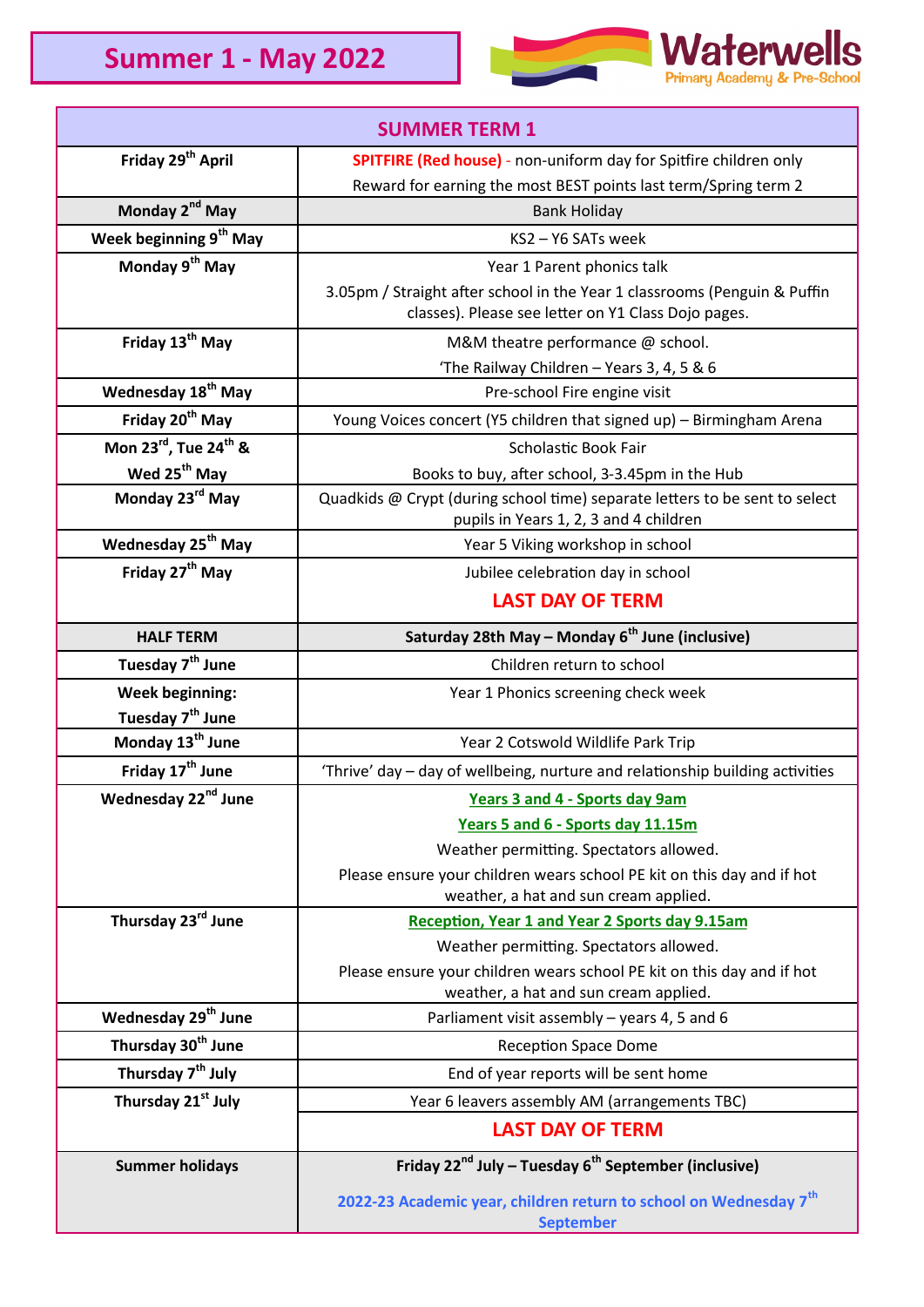

| <b>SUMMER TERM 1</b>               |                                                                                                                                  |
|------------------------------------|----------------------------------------------------------------------------------------------------------------------------------|
| Friday 29 <sup>th</sup> April      | <b>SPITFIRE (Red house)</b> - non-uniform day for Spitfire children only                                                         |
|                                    | Reward for earning the most BEST points last term/Spring term 2                                                                  |
| Monday 2 <sup>nd</sup> May         | <b>Bank Holiday</b>                                                                                                              |
| Week beginning 9 <sup>th</sup> May | KS2-Y6 SATs week                                                                                                                 |
| Monday 9 <sup>th</sup> May         | Year 1 Parent phonics talk                                                                                                       |
|                                    | 3.05pm / Straight after school in the Year 1 classrooms (Penguin & Puffin<br>classes). Please see letter on Y1 Class Dojo pages. |
| Friday 13 <sup>th</sup> May        | M&M theatre performance @ school.                                                                                                |
|                                    | 'The Railway Children - Years 3, 4, 5 & 6                                                                                        |
| Wednesday 18 <sup>th</sup> May     | Pre-school Fire engine visit                                                                                                     |
| Friday 20 <sup>th</sup> May        | Young Voices concert (Y5 children that signed up) - Birmingham Arena                                                             |
| Mon 23rd, Tue 24 <sup>th</sup> &   | Scholastic Book Fair                                                                                                             |
| Wed 25 <sup>th</sup> May           | Books to buy, after school, 3-3.45pm in the Hub                                                                                  |
| Monday 23rd May                    | Quadkids @ Crypt (during school time) separate letters to be sent to select<br>pupils in Years 1, 2, 3 and 4 children            |
| Wednesday 25 <sup>th</sup> May     | Year 5 Viking workshop in school                                                                                                 |
| Friday 27 <sup>th</sup> May        | Jubilee celebration day in school                                                                                                |
|                                    | <b>LAST DAY OF TERM</b>                                                                                                          |
| <b>HALF TERM</b>                   | Saturday 28th May - Monday 6 <sup>th</sup> June (inclusive)                                                                      |
| Tuesday 7 <sup>th</sup> June       | Children return to school                                                                                                        |
| <b>Week beginning:</b>             | Year 1 Phonics screening check week                                                                                              |
| Tuesday 7 <sup>th</sup> June       |                                                                                                                                  |
| Monday 13 <sup>th</sup> June       | Year 2 Cotswold Wildlife Park Trip                                                                                               |
| Friday 17 <sup>th</sup> June       | 'Thrive' day - day of wellbeing, nurture and relationship building activities                                                    |
| Wednesday 22 <sup>nd</sup> June    | <b>Years 3 and 4 - Sports day 9am</b>                                                                                            |
|                                    | Years 5 and 6 - Sports day 11.15m                                                                                                |
|                                    | Weather permitting. Spectators allowed.                                                                                          |
|                                    | Please ensure your children wears school PE kit on this day and if hot<br>weather, a hat and sun cream applied.                  |
| Thursday 23rd June                 | <b>Reception, Year 1 and Year 2 Sports day 9.15am</b>                                                                            |
|                                    | Weather permitting. Spectators allowed.                                                                                          |
|                                    | Please ensure your children wears school PE kit on this day and if hot<br>weather, a hat and sun cream applied.                  |
| Wednesday 29 <sup>th</sup> June    | Parliament visit assembly - years 4, 5 and 6                                                                                     |
| Thursday 30 <sup>th</sup> June     | <b>Reception Space Dome</b>                                                                                                      |
| Thursday 7 <sup>th</sup> July      | End of year reports will be sent home                                                                                            |
| Thursday 21 <sup>st</sup> July     | Year 6 leavers assembly AM (arrangements TBC)                                                                                    |
|                                    | <b>LAST DAY OF TERM</b>                                                                                                          |
| <b>Summer holidays</b>             | Friday 22 <sup>nd</sup> July – Tuesday $6^{th}$ September (inclusive)                                                            |
|                                    | 2022-23 Academic year, children return to school on Wednesday 7 <sup>th</sup><br><b>September</b>                                |